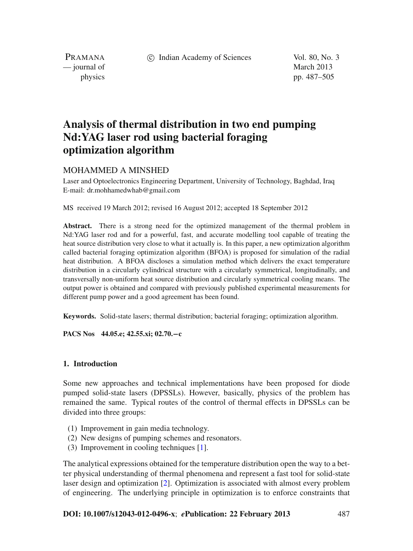c Indian Academy of Sciences Vol. 80, No. 3

PRAMANA — journal of March 2013

physics pp. 487–505

# **Analysis of thermal distribution in two end pumping Nd:YAG laser rod using bacterial foraging optimization algorithm**

# MOHAMMED A MINSHED

Laser and Optoelectronics Engineering Department, University of Technology, Baghdad, Iraq E-mail: dr.mohhamedwhab@gmail.com

MS received 19 March 2012; revised 16 August 2012; accepted 18 September 2012

**Abstract.** There is a strong need for the optimized management of the thermal problem in Nd:YAG laser rod and for a powerful, fast, and accurate modelling tool capable of treating the heat source distribution very close to what it actually is. In this paper, a new optimization algorithm called bacterial foraging optimization algorithm (BFOA) is proposed for simulation of the radial heat distribution. A BFOA discloses a simulation method which delivers the exact temperature distribution in a circularly cylindrical structure with a circularly symmetrical, longitudinally, and transversally non-uniform heat source distribution and circularly symmetrical cooling means. The output power is obtained and compared with previously published experimental measurements for different pump power and a good agreement has been found.

**Keywords.** Solid-state lasers; thermal distribution; bacterial foraging; optimization algorithm.

**PACS Nos 44.05.e; 42.55.xi; 02.70.−c**

# **1. Introduction**

Some new approaches and technical implementations have been proposed for diode pumped solid-state lasers (DPSSLs). However, basically, physics of the problem has remained the same. Typical routes of the control of thermal effects in DPSSLs can be divided into three groups:

- (1) Improvement in gain media technology.
- (2) New designs of pumping schemes and resonators.
- (3) Improvement in cooling techniques [\[1\]](#page-18-0).

The analytical expressions obtained for the temperature distribution open the way to a better physical understanding of thermal phenomena and represent a fast tool for solid-state laser design and optimization [\[2\]](#page-18-1). Optimization is associated with almost every problem of engineering. The underlying principle in optimization is to enforce constraints that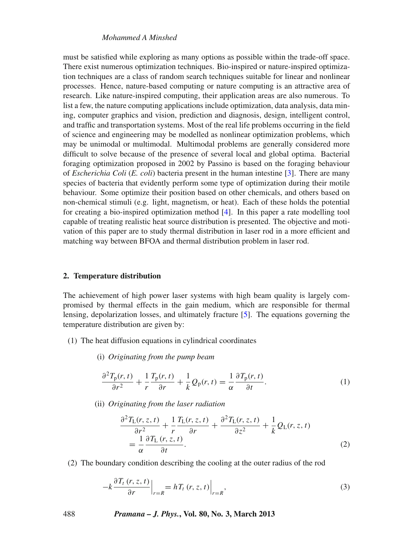# *Mohammed A Minshed*

must be satisfied while exploring as many options as possible within the trade-off space. There exist numerous optimization techniques. Bio-inspired or nature-inspired optimization techniques are a class of random search techniques suitable for linear and nonlinear processes. Hence, nature-based computing or nature computing is an attractive area of research. Like nature-inspired computing, their application areas are also numerous. To list a few, the nature computing applications include optimization, data analysis, data mining, computer graphics and vision, prediction and diagnosis, design, intelligent control, and traffic and transportation systems. Most of the real life problems occurring in the field of science and engineering may be modelled as nonlinear optimization problems, which may be unimodal or multimodal. Multimodal problems are generally considered more difficult to solve because of the presence of several local and global optima. Bacterial foraging optimization proposed in 2002 by Passino is based on the foraging behaviour of *Escherichia Coli* (*E. coli*) bacteria present in the human intestine [\[3\]](#page-18-2). There are many species of bacteria that evidently perform some type of optimization during their motile behaviour. Some optimize their position based on other chemicals, and others based on non-chemical stimuli (e.g. light, magnetism, or heat). Each of these holds the potential for creating a bio-inspired optimization method [\[4\]](#page-18-3). In this paper a rate modelling tool capable of treating realistic heat source distribution is presented. The objective and motivation of this paper are to study thermal distribution in laser rod in a more efficient and matching way between BFOA and thermal distribution problem in laser rod.

# **2. Temperature distribution**

The achievement of high power laser systems with high beam quality is largely compromised by thermal effects in the gain medium, which are responsible for thermal lensing, depolarization losses, and ultimately fracture [\[5\]](#page-18-4). The equations governing the temperature distribution are given by:

- (1) The heat diffusion equations in cylindrical coordinates
	- (i) *Originating from the pump beam*

$$
\frac{\partial^2 T_p(r,t)}{\partial r^2} + \frac{1}{r} \frac{T_p(r,t)}{\partial r} + \frac{1}{k} Q_p(r,t) = \frac{1}{\alpha} \frac{\partial T_p(r,t)}{\partial t}.
$$
 (1)

(ii) *Originating from the laser radiation*

<span id="page-1-0"></span>
$$
\frac{\partial^2 T_L(r, z, t)}{\partial r^2} + \frac{1}{r} \frac{T_L(r, z, t)}{\partial r} + \frac{\partial^2 T_L(r, z, t)}{\partial z^2} + \frac{1}{k} Q_L(r, z, t) \n= \frac{1}{\alpha} \frac{\partial T_L(r, z, t)}{\partial t}.
$$
\n(2)

(2) The boundary condition describing the cooling at the outer radius of the rod

$$
-k\frac{\partial T_t(r,z,t)}{\partial r}\Big|_{r=R} = hT_t(r,z,t)\Big|_{r=R},\tag{3}
$$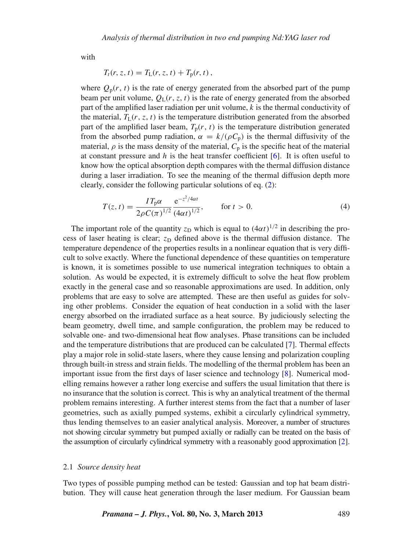with

$$
T_t(r, z, t) = T_L(r, z, t) + T_p(r, t),
$$

where  $Q_p(r, t)$  is the rate of energy generated from the absorbed part of the pump beam per unit volume,  $Q_L(r, z, t)$  is the rate of energy generated from the absorbed part of the amplified laser radiation per unit volume, *k* is the thermal conductivity of the material,  $T_L(r, z, t)$  is the temperature distribution generated from the absorbed part of the amplified laser beam,  $T_p(r, t)$  is the temperature distribution generated from the absorbed pump radiation,  $\alpha = k/(\rho C_p)$  is the thermal diffusivity of the material,  $\rho$  is the mass density of the material,  $C_p$  is the specific heat of the material at constant pressure and *h* is the heat transfer coefficient [\[6](#page-18-5)]. It is often useful to know how the optical absorption depth compares with the thermal diffusion distance during a laser irradiation. To see the meaning of the thermal diffusion depth more clearly, consider the following particular solutions of eq. [\(2\)](#page-1-0):

$$
T(z,t) = \frac{IT_{\rm p}\alpha}{2\rho C(\pi)^{1/2}} \frac{e^{-z^2/4\alpha t}}{(4\alpha t)^{1/2}}, \qquad \text{for } t > 0.
$$
 (4)

The important role of the quantity  $z_D$  which is equal to  $(4\alpha t)^{1/2}$  in describing the process of laser heating is clear;  $z_D$  defined above is the thermal diffusion distance. The temperature dependence of the properties results in a nonlinear equation that is very difficult to solve exactly. Where the functional dependence of these quantities on temperature is known, it is sometimes possible to use numerical integration techniques to obtain a solution. As would be expected, it is extremely difficult to solve the heat flow problem exactly in the general case and so reasonable approximations are used. In addition, only problems that are easy to solve are attempted. These are then useful as guides for solving other problems. Consider the equation of heat conduction in a solid with the laser energy absorbed on the irradiated surface as a heat source. By judiciously selecting the beam geometry, dwell time, and sample configuration, the problem may be reduced to solvable one- and two-dimensional heat flow analyses. Phase transitions can be included and the temperature distributions that are produced can be calculated [\[7](#page-18-6)]. Thermal effects play a major role in solid-state lasers, where they cause lensing and polarization coupling through built-in stress and strain fields. The modelling of the thermal problem has been an important issue from the first days of laser science and technology [\[8](#page-18-7)]. Numerical modelling remains however a rather long exercise and suffers the usual limitation that there is no insurance that the solution is correct. This is why an analytical treatment of the thermal problem remains interesting. A further interest stems from the fact that a number of laser geometries, such as axially pumped systems, exhibit a circularly cylindrical symmetry, thus lending themselves to an easier analytical analysis. Moreover, a number of structures not showing circular symmetry but pumped axially or radially can be treated on the basis of the assumption of circularly cylindrical symmetry with a reasonably good approximation [\[2](#page-18-1)].

# 2.1 *Source density heat*

Two types of possible pumping method can be tested: Gaussian and top hat beam distribution. They will cause heat generation through the laser medium. For Gaussian beam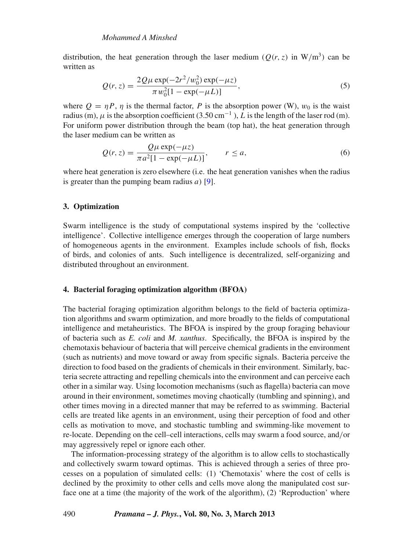distribution, the heat generation through the laser medium ( $O(r, z)$ ) in W/m<sup>3</sup>) can be written as

$$
Q(r,z) = \frac{2Q\mu \exp(-2r^2/w_0^2)\exp(-\mu z)}{\pi w_0^2[1 - \exp(-\mu L)]},
$$
\n(5)

where  $Q = \eta P$ ,  $\eta$  is the thermal factor, P is the absorption power (W),  $w_0$  is the waist radius (m),  $\mu$  is the absorption coefficient (3.50 cm<sup>-1</sup>),  $\overline{L}$  is the length of the laser rod (m). For uniform power distribution through the beam (top hat), the heat generation through the laser medium can be written as

$$
Q(r,z) = \frac{Q\mu \exp(-\mu z)}{\pi a^2 [1 - \exp(-\mu L)]}, \qquad r \le a,
$$
\n(6)

where heat generation is zero elsewhere (i.e. the heat generation vanishes when the radius is greater than the pumping beam radius *a*) [\[9](#page-18-8)].

# **3. Optimization**

Swarm intelligence is the study of computational systems inspired by the 'collective intelligence'. Collective intelligence emerges through the cooperation of large numbers of homogeneous agents in the environment. Examples include schools of fish, flocks of birds, and colonies of ants. Such intelligence is decentralized, self-organizing and distributed throughout an environment.

# **4. Bacterial foraging optimization algorithm (BFOA)**

The bacterial foraging optimization algorithm belongs to the field of bacteria optimization algorithms and swarm optimization, and more broadly to the fields of computational intelligence and metaheuristics. The BFOA is inspired by the group foraging behaviour of bacteria such as *E. coli* and *M. xanthus*. Specifically, the BFOA is inspired by the chemotaxis behaviour of bacteria that will perceive chemical gradients in the environment (such as nutrients) and move toward or away from specific signals. Bacteria perceive the direction to food based on the gradients of chemicals in their environment. Similarly, bacteria secrete attracting and repelling chemicals into the environment and can perceive each other in a similar way. Using locomotion mechanisms (such as flagella) bacteria can move around in their environment, sometimes moving chaotically (tumbling and spinning), and other times moving in a directed manner that may be referred to as swimming. Bacterial cells are treated like agents in an environment, using their perception of food and other cells as motivation to move, and stochastic tumbling and swimming-like movement to re-locate. Depending on the cell–cell interactions, cells may swarm a food source, and/or may aggressively repel or ignore each other.

The information-processing strategy of the algorithm is to allow cells to stochastically and collectively swarm toward optimas. This is achieved through a series of three processes on a population of simulated cells: (1) 'Chemotaxis' where the cost of cells is declined by the proximity to other cells and cells move along the manipulated cost surface one at a time (the majority of the work of the algorithm), (2) 'Reproduction' where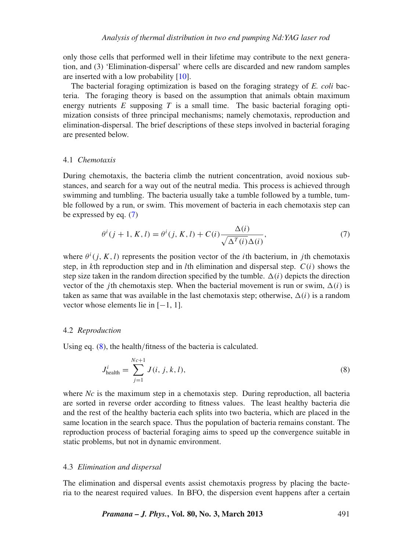only those cells that performed well in their lifetime may contribute to the next generation, and (3) 'Elimination-dispersal' where cells are discarded and new random samples are inserted with a low probability [\[10](#page-18-9)].

The bacterial foraging optimization is based on the foraging strategy of *E. coli* bacteria. The foraging theory is based on the assumption that animals obtain maximum energy nutrients *E* supposing *T* is a small time. The basic bacterial foraging optimization consists of three principal mechanisms; namely chemotaxis, reproduction and elimination-dispersal. The brief descriptions of these steps involved in bacterial foraging are presented below.

#### 4.1 *Chemotaxis*

During chemotaxis, the bacteria climb the nutrient concentration, avoid noxious substances, and search for a way out of the neutral media. This process is achieved through swimming and tumbling. The bacteria usually take a tumble followed by a tumble, tumble followed by a run, or swim. This movement of bacteria in each chemotaxis step can be expressed by eq. [\(7\)](#page-4-0)

<span id="page-4-0"></span>
$$
\theta^{i}(j+1, K, l) = \theta^{i}(j, K, l) + C(i) \frac{\Delta(i)}{\sqrt{\Delta^{T}(i)}\Delta(i)},
$$
\n(7)

where  $\theta^{i}(j, K, l)$  represents the position vector of the *i*th bacterium, in *j*th chemotaxis step, in *k*th reproduction step and in *l*th elimination and dispersal step.  $C(i)$  shows the step size taken in the random direction specified by the tumble.  $\Delta(i)$  depicts the direction vector of the *j*th chemotaxis step. When the bacterial movement is run or swim,  $\Delta(i)$  is taken as same that was available in the last chemotaxis step; otherwise,  $\Delta(i)$  is a random vector whose elements lie in [−1, 1].

#### 4.2 *Reproduction*

Using eq. [\(8\)](#page-4-1), the health/fitness of the bacteria is calculated.

<span id="page-4-1"></span>
$$
J_{\text{health}}^i = \sum_{j=1}^{Nc+1} J(i, j, k, l), \tag{8}
$$

where *Nc* is the maximum step in a chemotaxis step. During reproduction, all bacteria are sorted in reverse order according to fitness values. The least healthy bacteria die and the rest of the healthy bacteria each splits into two bacteria, which are placed in the same location in the search space. Thus the population of bacteria remains constant. The reproduction process of bacterial foraging aims to speed up the convergence suitable in static problems, but not in dynamic environment.

# 4.3 *Elimination and dispersal*

The elimination and dispersal events assist chemotaxis progress by placing the bacteria to the nearest required values. In BFO, the dispersion event happens after a certain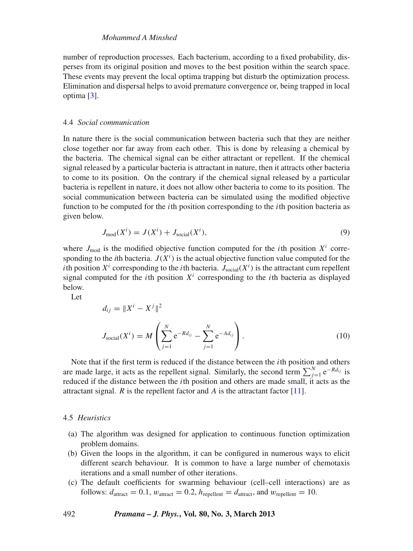number of reproduction processes. Each bacterium, according to a fixed probability, disperses from its original position and moves to the best position within the search space. These events may prevent the local optima trapping but disturb the optimization process. Elimination and dispersal helps to avoid premature convergence or, being trapped in local optima [\[3](#page-18-2)].

# 4.4 *Social communication*

In nature there is the social communication between bacteria such that they are neither close together nor far away from each other. This is done by releasing a chemical by the bacteria. The chemical signal can be either attractant or repellent. If the chemical signal released by a particular bacteria is attractant in nature, then it attracts other bacteria to come to its position. On the contrary if the chemical signal released by a particular bacteria is repellent in nature, it does not allow other bacteria to come to its position. The social communication between bacteria can be simulated using the modified objective function to be computed for the *i*th position corresponding to the *i*th position bacteria as given below.

$$
J_{\text{mod}}(X^i) = J(X^i) + J_{\text{social}}(X^i),\tag{9}
$$

where  $J_{\text{mod}}$  is the modified objective function computed for the *i*th position  $X^i$  corresponding to the *i*th bacteria.  $J(X<sup>i</sup>)$  is the actual objective function value computed for the *i*th position  $X^i$  corresponding to the *i*th bacteria.  $J_{\text{social}}(X^i)$  is the attractant cum repellent signal computed for the *i*th position  $X^i$  corresponding to the *i*th bacteria as displayed below.

Let

$$
d_{ij} = \|X^{i} - X^{j}\|^{2}
$$
  

$$
J_{\text{social}}(X^{i}) = M\left(\sum_{j=1}^{N} e^{-R d_{ij}} - \sum_{j=1}^{N} e^{-A d_{ij}}\right).
$$
 (10)

Note that if the first term is reduced if the distance between the *i*th position and others are made large, it acts as the repellent signal. Similarly, the second term  $\sum_{j=1}^{N} e^{-Rd_{ij}}$  is reduced if the distance between the *i*th position and others are made small, it acts as the attractant signal. *R* is the repellent factor and *A* is the attractant factor  $[11]$  $[11]$ .

# 4.5 *Heuristics*

- (a) The algorithm was designed for application to continuous function optimization problem domains.
- (b) Given the loops in the algorithm, it can be configured in numerous ways to elicit different search behaviour. It is common to have a large number of chemotaxis iterations and a small number of other iterations.
- (c) The default coefficients for swarming behaviour (cell–cell interactions) are as follows:  $d_{\text{attract}} = 0.1$ ,  $w_{\text{attract}} = 0.2$ ,  $h_{\text{repellent}} = d_{\text{attract}}$ , and  $w_{\text{repellent}} = 10$ .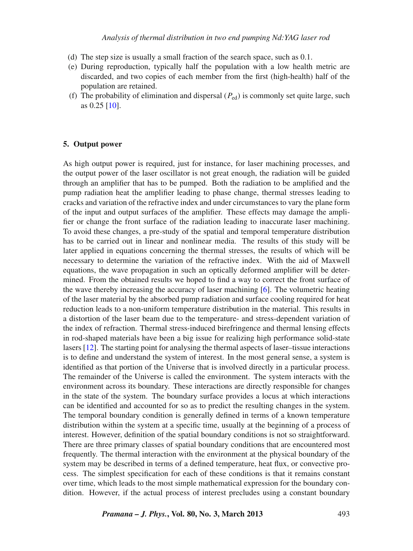- (d) The step size is usually a small fraction of the search space, such as 0.1.
- (e) During reproduction, typically half the population with a low health metric are discarded, and two copies of each member from the first (high-health) half of the population are retained.
- (f) The probability of elimination and dispersal  $(P_{ed})$  is commonly set quite large, such as 0.25 [\[10\]](#page-18-9).

#### **5. Output power**

As high output power is required, just for instance, for laser machining processes, and the output power of the laser oscillator is not great enough, the radiation will be guided through an amplifier that has to be pumped. Both the radiation to be amplified and the pump radiation heat the amplifier leading to phase change, thermal stresses leading to cracks and variation of the refractive index and under circumstances to vary the plane form of the input and output surfaces of the amplifier. These effects may damage the amplifier or change the front surface of the radiation leading to inaccurate laser machining. To avoid these changes, a pre-study of the spatial and temporal temperature distribution has to be carried out in linear and nonlinear media. The results of this study will be later applied in equations concerning the thermal stresses, the results of which will be necessary to determine the variation of the refractive index. With the aid of Maxwell equations, the wave propagation in such an optically deformed amplifier will be determined. From the obtained results we hoped to find a way to correct the front surface of the wave thereby increasing the accuracy of laser machining  $[6]$ . The volumetric heating of the laser material by the absorbed pump radiation and surface cooling required for heat reduction leads to a non-uniform temperature distribution in the material. This results in a distortion of the laser beam due to the temperature- and stress-dependent variation of the index of refraction. Thermal stress-induced birefringence and thermal lensing effects in rod-shaped materials have been a big issue for realizing high performance solid-state lasers [\[12\]](#page-18-11). The starting point for analysing the thermal aspects of laser–tissue interactions is to define and understand the system of interest. In the most general sense, a system is identified as that portion of the Universe that is involved directly in a particular process. The remainder of the Universe is called the environment. The system interacts with the environment across its boundary. These interactions are directly responsible for changes in the state of the system. The boundary surface provides a locus at which interactions can be identified and accounted for so as to predict the resulting changes in the system. The temporal boundary condition is generally defined in terms of a known temperature distribution within the system at a specific time, usually at the beginning of a process of interest. However, definition of the spatial boundary conditions is not so straightforward. There are three primary classes of spatial boundary conditions that are encountered most frequently. The thermal interaction with the environment at the physical boundary of the system may be described in terms of a defined temperature, heat flux, or convective process. The simplest specification for each of these conditions is that it remains constant over time, which leads to the most simple mathematical expression for the boundary condition. However, if the actual process of interest precludes using a constant boundary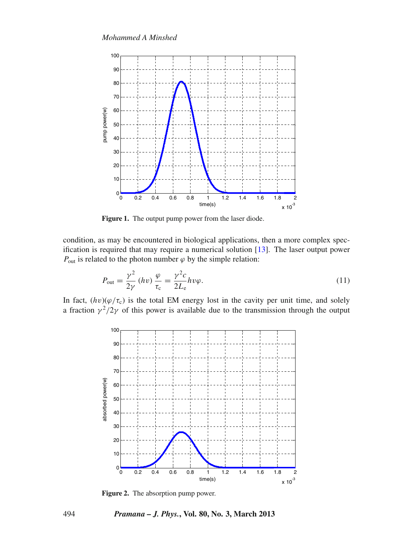<span id="page-7-0"></span>

Figure 1. The output pump power from the laser diode.

condition, as may be encountered in biological applications, then a more complex specification is required that may require a numerical solution [\[13](#page-18-12)]. The laser output power  $P_{\text{out}}$  is related to the photon number  $\varphi$  by the simple relation:

$$
P_{\text{out}} = \frac{\gamma^2}{2\gamma} (hv) \frac{\varphi}{\tau_c} = \frac{\gamma^2 c}{2L_e} hv\varphi.
$$
 (11)

<span id="page-7-1"></span>In fact,  $(hv)(\varphi/\tau_c)$  is the total EM energy lost in the cavity per unit time, and solely a fraction  $\gamma^2/2\gamma$  of this power is available due to the transmission through the output



**Figure 2.** The absorption pump power.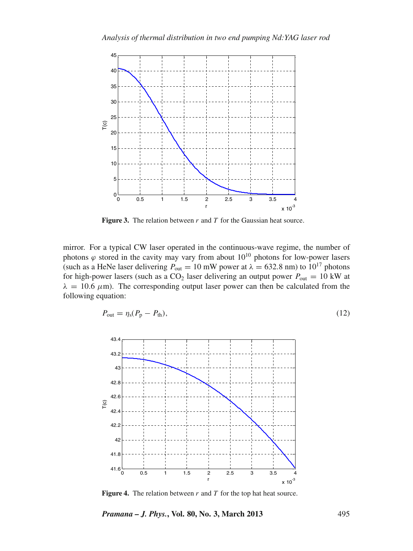<span id="page-8-1"></span>

**Figure 3.** The relation between *r* and *T* for the Gaussian heat source.

mirror. For a typical CW laser operated in the continuous-wave regime, the number of photons  $\varphi$  stored in the cavity may vary from about 10<sup>10</sup> photons for low-power lasers (such as a HeNe laser delivering  $P_{\text{out}} = 10 \text{ mW}$  power at  $\lambda = 632.8 \text{ nm}$ ) to  $10^{17}$  photons for high-power lasers (such as a  $CO_2$  laser delivering an output power  $P_{out} = 10$  kW at  $\lambda = 10.6 \ \mu m$ ). The corresponding output laser power can then be calculated from the following equation:

<span id="page-8-0"></span>
$$
P_{\text{out}} = \eta_{\text{s}}(P_{\text{p}} - P_{\text{th}}),\tag{12}
$$

<span id="page-8-2"></span>

**Figure 4.** The relation between *r* and *T* for the top hat heat source.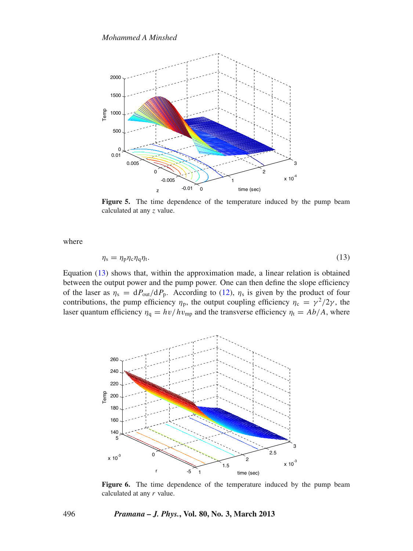<span id="page-9-1"></span>

Figure 5. The time dependence of the temperature induced by the pump beam calculated at any *z* value.

<span id="page-9-0"></span>where

$$
\eta_s = \eta_p \eta_c \eta_q \eta_t. \tag{13}
$$

Equation [\(13\)](#page-9-0) shows that, within the approximation made, a linear relation is obtained between the output power and the pump power. One can then define the slope efficiency of the laser as  $\eta_s = dP_{out}/dP_p$ . According to [\(12\)](#page-8-0),  $\eta_s$  is given by the product of four contributions, the pump efficiency  $\eta_p$ , the output coupling efficiency  $\eta_c = \gamma^2/2\gamma$ , the laser quantum efficiency  $\eta_q = hv/hv_{mp}$  and the transverse efficiency  $\eta_t = Ab/A$ , where

<span id="page-9-2"></span>

**Figure 6.** The time dependence of the temperature induced by the pump beam calculated at any *r* value.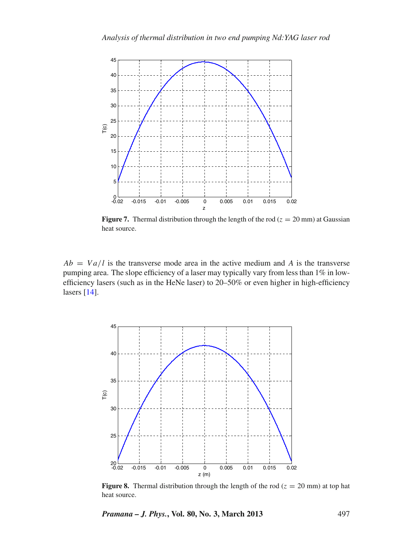<span id="page-10-0"></span>

**Figure 7.** Thermal distribution through the length of the rod ( $z = 20$  mm) at Gaussian heat source.

 $Ab = Va/l$  is the transverse mode area in the active medium and *A* is the transverse pumping area. The slope efficiency of a laser may typically vary from less than 1% in lowefficiency lasers (such as in the HeNe laser) to 20–50% or even higher in high-efficiency lasers [\[14](#page-18-13)].

<span id="page-10-1"></span>

**Figure 8.** Thermal distribution through the length of the rod ( $z = 20$  mm) at top hat heat source.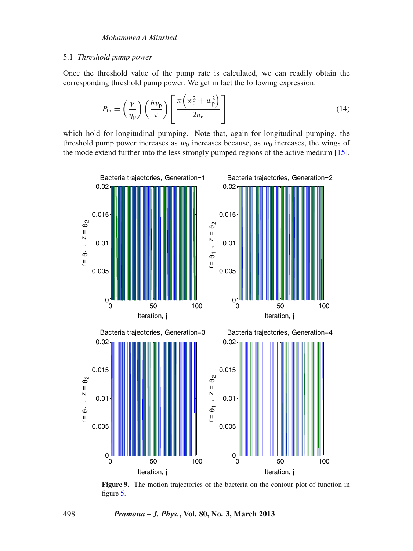# *Mohammed A Minshed*

### 5.1 *Threshold pump power*

Once the threshold value of the pump rate is calculated, we can readily obtain the corresponding threshold pump power. We get in fact the following expression:

$$
P_{\text{th}} = \left(\frac{\gamma}{\eta_{\text{p}}}\right) \left(\frac{hv_{\text{p}}}{\tau}\right) \left[\frac{\pi \left(w_{0}^{2} + w_{\text{p}}^{2}\right)}{2\sigma_{\text{e}}}\right]
$$
(14)

which hold for longitudinal pumping. Note that, again for longitudinal pumping, the threshold pump power increases as  $w_0$  increases because, as  $w_0$  increases, the wings of the mode extend further into the less strongly pumped regions of the active medium [\[15](#page-18-14)].

<span id="page-11-0"></span>

**Figure 9.** The motion trajectories of the bacteria on the contour plot of function in figure [5.](#page-9-1)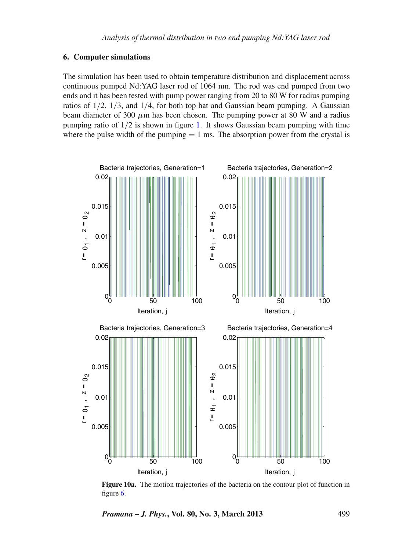# **6. Computer simulations**

The simulation has been used to obtain temperature distribution and displacement across continuous pumped Nd:YAG laser rod of 1064 nm. The rod was end pumped from two ends and it has been tested with pump power ranging from 20 to 80 W for radius pumping ratios of  $1/2$ ,  $1/3$ , and  $1/4$ , for both top hat and Gaussian beam pumping. A Gaussian beam diameter of 300  $\mu$ m has been chosen. The pumping power at 80 W and a radius pumping ratio of  $1/2$  is shown in figure [1.](#page-7-0) It shows Gaussian beam pumping with time where the pulse width of the pumping  $= 1$  ms. The absorption power from the crystal is

<span id="page-12-0"></span>

**Figure 10a.** The motion trajectories of the bacteria on the contour plot of function in figure [6.](#page-9-2)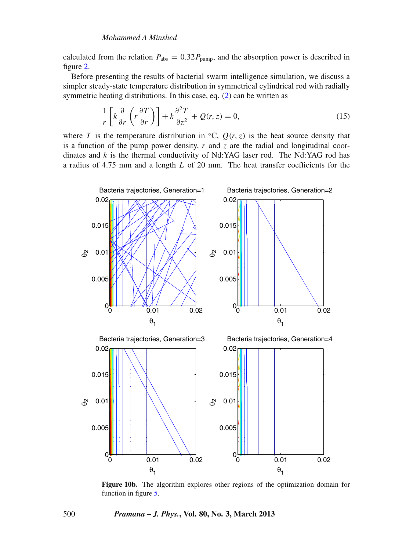calculated from the relation  $P_{\text{abs}} = 0.32 P_{\text{pump}}$ , and the absorption power is described in figure [2.](#page-7-1)

Before presenting the results of bacterial swarm intelligence simulation, we discuss a simpler steady-state temperature distribution in symmetrical cylindrical rod with radially symmetric heating distributions. In this case, eq. [\(2\)](#page-1-0) can be written as

$$
\frac{1}{r}\left[k\frac{\partial}{\partial r}\left(r\frac{\partial T}{\partial r}\right)\right] + k\frac{\partial^2 T}{\partial z^2} + Q(r,z) = 0,\tag{15}
$$

where *T* is the temperature distribution in  $°C$ ,  $Q(r, z)$  is the heat source density that is a function of the pump power density, *r* and *z* are the radial and longitudinal coordinates and *k* is the thermal conductivity of Nd:YAG laser rod. The Nd:YAG rod has a radius of 4.75 mm and a length *L* of 20 mm. The heat transfer coefficients for the

<span id="page-13-0"></span>

**Figure 10b.** The algorithm explores other regions of the optimization domain for function in figure [5.](#page-9-1)

500 *Pramana – J. Phys.***, Vol. 80, No. 3, March 2013**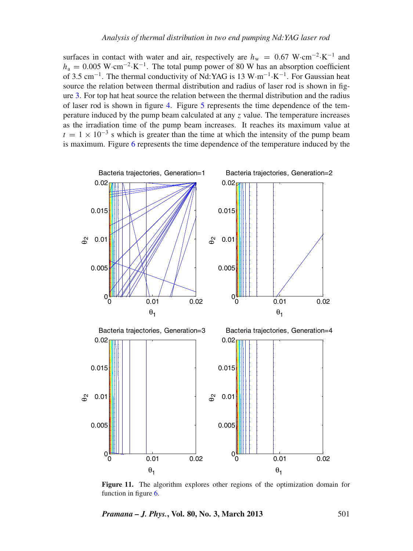surfaces in contact with water and air, respectively are  $h_w = 0.67 \text{ W} \cdot \text{cm}^{-2} \cdot \text{K}^{-1}$  and  $h_a = 0.005 \text{ W} \cdot \text{cm}^{-2} \cdot \text{K}^{-1}$ . The total pump power of 80 W has an absorption coefficient of 3.5 cm<sup>-1</sup>. The thermal conductivity of Nd:YAG is 13 W·m<sup>-1</sup>·K<sup>-1</sup>. For Gaussian heat source the relation between thermal distribution and radius of laser rod is shown in figure [3.](#page-8-1) For top hat heat source the relation between the thermal distribution and the radius of laser rod is shown in figure [4.](#page-8-2) Figure [5](#page-9-1) represents the time dependence of the temperature induced by the pump beam calculated at any *z* value. The temperature increases as the irradiation time of the pump beam increases. It reaches its maximum value at  $t = 1 \times 10^{-3}$  s which is greater than the time at which the intensity of the pump beam is maximum. Figure [6](#page-9-2) represents the time dependence of the temperature induced by the

<span id="page-14-0"></span>

**Figure 11.** The algorithm explores other regions of the optimization domain for function in figure [6.](#page-9-2)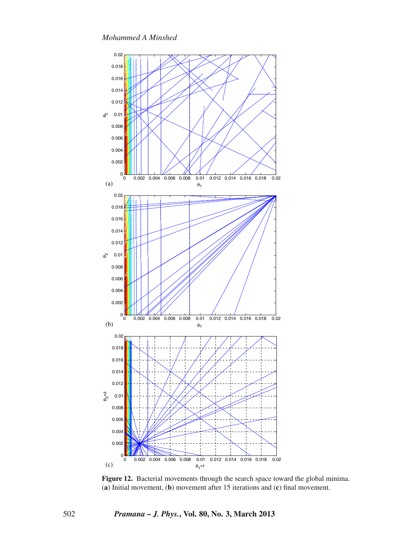<span id="page-15-0"></span>

**Figure 12.** Bacterial movements through the search space toward the global minima. (**a**) Initial movement, (**b**) movement after 15 iterations and (**c**) final movement.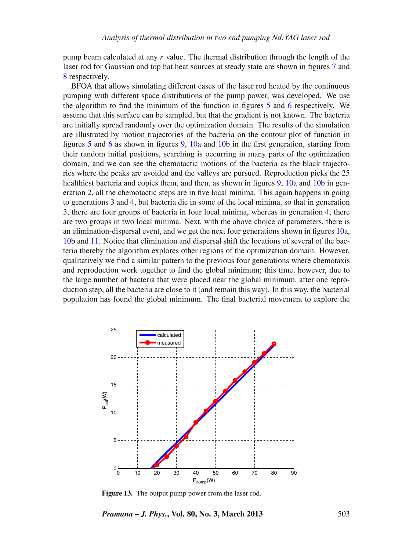pump beam calculated at any *r* value. The thermal distribution through the length of the laser rod for Gaussian and top hat heat sources at steady state are shown in figures [7](#page-10-0) and [8](#page-10-1) respectively.

BFOA that allows simulating different cases of the laser rod heated by the continuous pumping with different space distributions of the pump power, was developed. We use the algorithm to find the minimum of the function in figures [5](#page-9-1) and [6](#page-9-2) respectively. We assume that this surface can be sampled, but that the gradient is not known. The bacteria are initially spread randomly over the optimization domain. The results of the simulation are illustrated by motion trajectories of the bacteria on the contour plot of function in figures [5](#page-9-1) and [6](#page-9-2) as shown in figures [9,](#page-11-0) [10a](#page-12-0) and [10b](#page-13-0) in the first generation, starting from their random initial positions, searching is occurring in many parts of the optimization domain, and we can see the chemotactic motions of the bacteria as the black trajectories where the peaks are avoided and the valleys are pursued. Reproduction picks the 25 healthiest bacteria and copies them, and then, as shown in figures [9,](#page-11-0) [10a](#page-12-0) and [10b](#page-13-0) in generation 2, all the chemotactic steps are in five local minima. This again happens in going to generations 3 and 4, but bacteria die in some of the local minima, so that in generation 3, there are four groups of bacteria in four local minima, whereas in generation 4, there are two groups in two local minima. Next, with the above choice of parameters, there is an elimination-dispersal event, and we get the next four generations shown in figures [10a](#page-12-0), [10b](#page-13-0) and [11.](#page-14-0) Notice that elimination and dispersal shift the locations of several of the bacteria thereby the algorithm explores other regions of the optimization domain. However, qualitatively we find a similar pattern to the previous four generations where chemotaxis and reproduction work together to find the global minimum; this time, however, due to the large number of bacteria that were placed near the global minimum, after one reproduction step, all the bacteria are close to it (and remain this way). In this way, the bacterial population has found the global minimum. The final bacterial movement to explore the

<span id="page-16-0"></span>

**Figure 13.** The output pump power from the laser rod.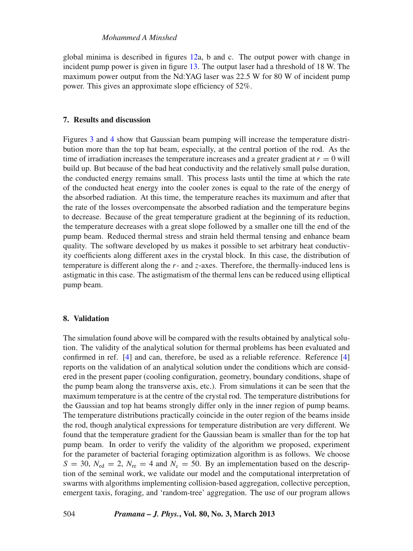# *Mohammed A Minshed*

global minima is described in figures [12a](#page-15-0), b and c. The output power with change in incident pump power is given in figure [13.](#page-16-0) The output laser had a threshold of 18 W. The maximum power output from the Nd:YAG laser was 22.5 W for 80 W of incident pump power. This gives an approximate slope efficiency of 52%.

# **7. Results and discussion**

Figures [3](#page-8-1) and [4](#page-8-2) show that Gaussian beam pumping will increase the temperature distribution more than the top hat beam, especially, at the central portion of the rod. As the time of irradiation increases the temperature increases and a greater gradient at  $r = 0$  will build up. But because of the bad heat conductivity and the relatively small pulse duration, the conducted energy remains small. This process lasts until the time at which the rate of the conducted heat energy into the cooler zones is equal to the rate of the energy of the absorbed radiation. At this time, the temperature reaches its maximum and after that the rate of the losses overcompensate the absorbed radiation and the temperature begins to decrease. Because of the great temperature gradient at the beginning of its reduction, the temperature decreases with a great slope followed by a smaller one till the end of the pump beam. Reduced thermal stress and strain held thermal tensing and enhance beam quality. The software developed by us makes it possible to set arbitrary heat conductivity coefficients along different axes in the crystal block. In this case, the distribution of temperature is different along the *r*- and *z*-axes. Therefore, the thermally-induced lens is astigmatic in this case. The astigmatism of the thermal lens can be reduced using elliptical pump beam.

# **8. Validation**

The simulation found above will be compared with the results obtained by analytical solution. The validity of the analytical solution for thermal problems has been evaluated and confirmed in ref. [\[4\]](#page-18-3) and can, therefore, be used as a reliable reference. Reference [\[4\]](#page-18-3) reports on the validation of an analytical solution under the conditions which are considered in the present paper (cooling configuration, geometry, boundary conditions, shape of the pump beam along the transverse axis, etc.). From simulations it can be seen that the maximum temperature is at the centre of the crystal rod. The temperature distributions for the Gaussian and top hat beams strongly differ only in the inner region of pump beams. The temperature distributions practically coincide in the outer region of the beams inside the rod, though analytical expressions for temperature distribution are very different. We found that the temperature gradient for the Gaussian beam is smaller than for the top hat pump beam. In order to verify the validity of the algorithm we proposed, experiment for the parameter of bacterial foraging optimization algorithm is as follows. We choose  $S = 30$ ,  $N_{\text{ed}} = 2$ ,  $N_{\text{re}} = 4$  and  $N_{\text{c}} = 50$ . By an implementation based on the description of the seminal work, we validate our model and the computational interpretation of swarms with algorithms implementing collision-based aggregation, collective perception, emergent taxis, foraging, and 'random-tree' aggregation. The use of our program allows